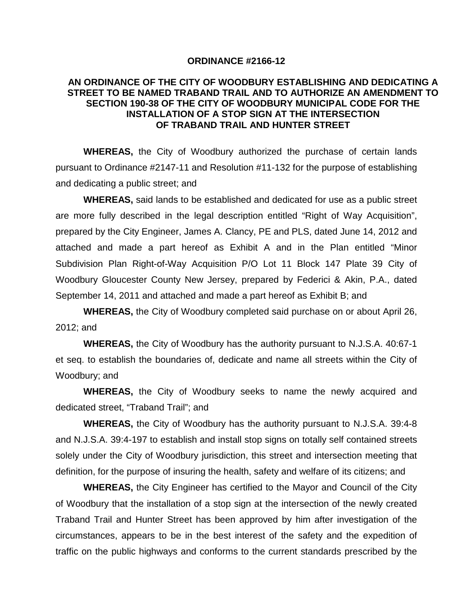## **ORDINANCE #2166-12**

## **AN ORDINANCE OF THE CITY OF WOODBURY ESTABLISHING AND DEDICATING A STREET TO BE NAMED TRABAND TRAIL AND TO AUTHORIZE AN AMENDMENT TO SECTION 190-38 OF THE CITY OF WOODBURY MUNICIPAL CODE FOR THE INSTALLATION OF A STOP SIGN AT THE INTERSECTION OF TRABAND TRAIL AND HUNTER STREET**

**WHEREAS,** the City of Woodbury authorized the purchase of certain lands pursuant to Ordinance #2147-11 and Resolution #11-132 for the purpose of establishing and dedicating a public street; and

**WHEREAS,** said lands to be established and dedicated for use as a public street are more fully described in the legal description entitled "Right of Way Acquisition", prepared by the City Engineer, James A. Clancy, PE and PLS, dated June 14, 2012 and attached and made a part hereof as Exhibit A and in the Plan entitled "Minor Subdivision Plan Right-of-Way Acquisition P/O Lot 11 Block 147 Plate 39 City of Woodbury Gloucester County New Jersey, prepared by Federici & Akin, P.A., dated September 14, 2011 and attached and made a part hereof as Exhibit B; and

**WHEREAS,** the City of Woodbury completed said purchase on or about April 26, 2012; and

**WHEREAS,** the City of Woodbury has the authority pursuant to N.J.S.A. 40:67-1 et seq. to establish the boundaries of, dedicate and name all streets within the City of Woodbury; and

**WHEREAS,** the City of Woodbury seeks to name the newly acquired and dedicated street, "Traband Trail"; and

**WHEREAS,** the City of Woodbury has the authority pursuant to N.J.S.A. 39:4-8 and N.J.S.A. 39:4-197 to establish and install stop signs on totally self contained streets solely under the City of Woodbury jurisdiction, this street and intersection meeting that definition, for the purpose of insuring the health, safety and welfare of its citizens; and

**WHEREAS,** the City Engineer has certified to the Mayor and Council of the City of Woodbury that the installation of a stop sign at the intersection of the newly created Traband Trail and Hunter Street has been approved by him after investigation of the circumstances, appears to be in the best interest of the safety and the expedition of traffic on the public highways and conforms to the current standards prescribed by the